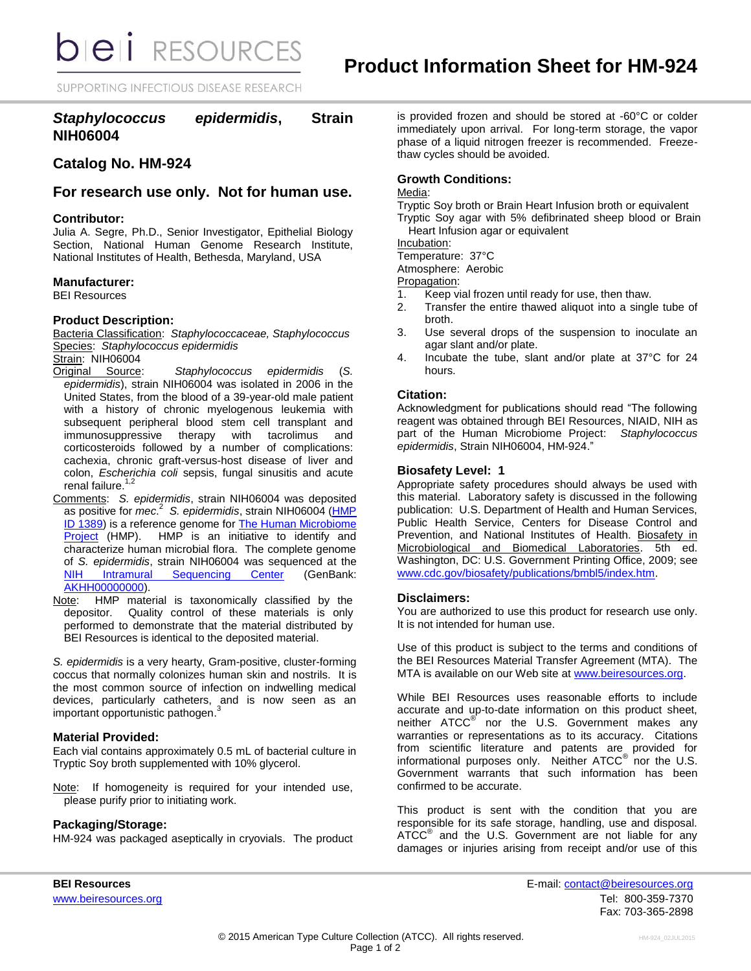**bieli** RESOURCES

SUPPORTING INFECTIOUS DISEASE RESEARCH

# *Staphylococcus epidermidis***, Strain NIH06004**

# **Catalog No. HM-924**

**For research use only. Not for human use.**

## **Contributor:**

Julia A. Segre, Ph.D., Senior Investigator, Epithelial Biology Section, National Human Genome Research Institute, National Institutes of Health, Bethesda, Maryland, USA

## **Manufacturer:**

BEI Resources

## **Product Description:**

Bacteria Classification: *Staphylococcaceae, Staphylococcus* Species: *Staphylococcus epidermidis* Strain: NIH06004

- Original Source: *Staphylococcus epidermidis* (*S. epidermidis*), strain NIH06004 was isolated in 2006 in the United States, from the blood of a 39-year-old male patient with a history of chronic myelogenous leukemia with subsequent peripheral blood stem cell transplant and immunosuppressive therapy with tacrolimus and corticosteroids followed by a number of complications: cachexia, chronic graft-versus-host disease of liver and colon, *Escherichia coli* sepsis, fungal sinusitis and acute renal failure.<sup>1</sup>
- Comments: *S. epidermidis*, strain NIH06004 was deposited as positive for *mec*. 2 *S. epidermidis*, strain NIH06004 [\(HMP](http://www.hmpdacc.org/catalog/grid.php?dataset=genomic&hmp_id=1389)  [ID 1389\)](http://www.hmpdacc.org/catalog/grid.php?dataset=genomic&hmp_id=1389) is a reference genome fo[r The Human Microbiome](http://nihroadmap.nih.gov/hmp/)  [Project](http://nihroadmap.nih.gov/hmp/) (HMP). HMP is an initiative to identify and characterize human microbial flora. The complete genome of *S. epidermidis*, strain NIH06004 was sequenced at the [NIH Intramural Sequencing Center](http://www.nisc.nih.gov/) (GenBank: [AKHH00000000\)](http://www.ncbi.nlm.nih.gov/nuccore/AKHH00000000.1/).
- Note: HMP material is taxonomically classified by the depositor. Quality control of these materials is only performed to demonstrate that the material distributed by BEI Resources is identical to the deposited material.

*S. epidermidis* is a very hearty, Gram-positive, cluster-forming coccus that normally colonizes human skin and nostrils. It is the most common source of infection on indwelling medical devices, particularly catheters, and is now seen as an important appartunistic patheores<sup>3</sup> important opportunistic pathogen.

## **Material Provided:**

Each vial contains approximately 0.5 mL of bacterial culture in Tryptic Soy broth supplemented with 10% glycerol.

Note: If homogeneity is required for your intended use, please purify prior to initiating work.

## **Packaging/Storage:**

HM-924 was packaged aseptically in cryovials. The product

is provided frozen and should be stored at -60°C or colder immediately upon arrival. For long-term storage, the vapor phase of a liquid nitrogen freezer is recommended. Freezethaw cycles should be avoided.

## **Growth Conditions:**

#### Media:

Tryptic Soy broth or Brain Heart Infusion broth or equivalent Tryptic Soy agar with 5% defibrinated sheep blood or Brain

Heart Infusion agar or equivalent

Incubation:

Temperature: 37°C

Atmosphere: Aerobic

Propagation:

- 1. Keep vial frozen until ready for use, then thaw.
- 2. Transfer the entire thawed aliquot into a single tube of broth.
- 3. Use several drops of the suspension to inoculate an agar slant and/or plate.
- 4. Incubate the tube, slant and/or plate at 37°C for 24 hours.

## **Citation:**

Acknowledgment for publications should read "The following reagent was obtained through BEI Resources, NIAID, NIH as part of the Human Microbiome Project: *Staphylococcus epidermidis*, Strain NIH06004, HM-924."

## **Biosafety Level: 1**

Appropriate safety procedures should always be used with this material. Laboratory safety is discussed in the following publication: U.S. Department of Health and Human Services, Public Health Service, Centers for Disease Control and Prevention, and National Institutes of Health. Biosafety in Microbiological and Biomedical Laboratories. 5th ed. Washington, DC: U.S. Government Printing Office, 2009; see [www.cdc.gov/biosafety/publications/bmbl5/index.htm.](http://www.cdc.gov/biosafety/publications/bmbl5/index.htm)

## **Disclaimers:**

You are authorized to use this product for research use only. It is not intended for human use.

Use of this product is subject to the terms and conditions of the BEI Resources Material Transfer Agreement (MTA). The MTA is available on our Web site at [www.beiresources.org.](http://www.beiresources.org/)

While BEI Resources uses reasonable efforts to include accurate and up-to-date information on this product sheet, neither ATCC<sup>®</sup> nor the U.S. Government makes any warranties or representations as to its accuracy. Citations from scientific literature and patents are provided for informational purposes only. Neither  $\tt{ATCC}^{\circledR}$  nor the U.S. Government warrants that such information has been confirmed to be accurate.

This product is sent with the condition that you are responsible for its safe storage, handling, use and disposal. ATCC<sup>®</sup> and the U.S. Government are not liable for any damages or injuries arising from receipt and/or use of this

**BEI Resources** E-mail: contact@beiresources.org www.beiresources.orgTel: 800-359-7370 Fax: 703-365-2898